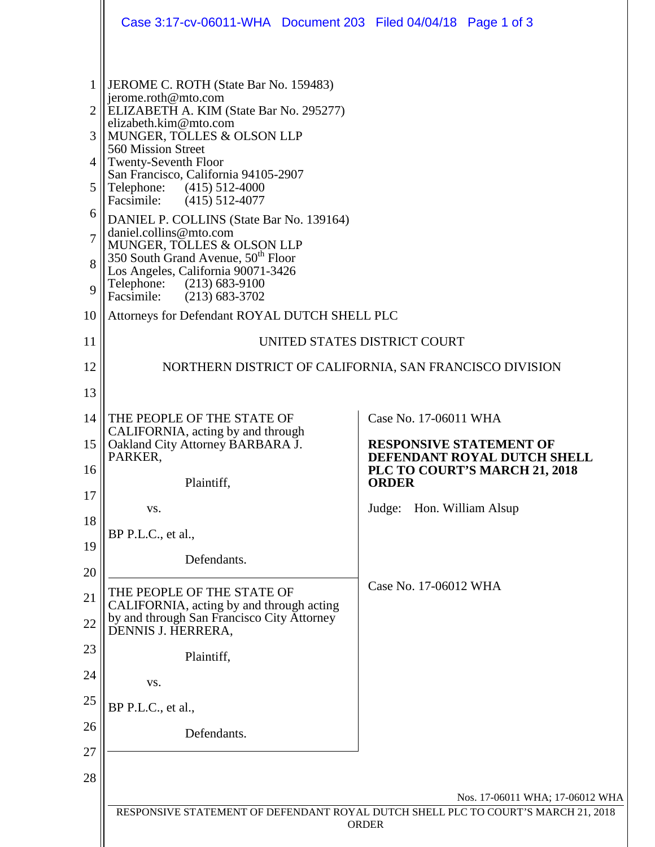|                                                     | Case 3:17-cv-06011-WHA Document 203 Filed 04/04/18 Page 1 of 3                                                                                                                                                                                                                                                                                                                                                                                                                                                                                                                          |                                                                                                                      |
|-----------------------------------------------------|-----------------------------------------------------------------------------------------------------------------------------------------------------------------------------------------------------------------------------------------------------------------------------------------------------------------------------------------------------------------------------------------------------------------------------------------------------------------------------------------------------------------------------------------------------------------------------------------|----------------------------------------------------------------------------------------------------------------------|
| 1<br>2<br>3<br>4<br>5<br>6<br>7<br>8<br>$\mathbf Q$ | JEROME C. ROTH (State Bar No. 159483)<br>jerome.roth@mto.com<br>ELIZABETH A. KIM (State Bar No. 295277)<br>elizabeth.kim@mto.com<br>MUNGER, TOLLES & OLSON LLP<br>560 Mission Street<br><b>Twenty-Seventh Floor</b><br>San Francisco, California 94105-2907<br>Telephone:<br>$(415)$ 512-4000<br>Facsimile: (415) 512-4077<br>DANIEL P. COLLINS (State Bar No. 139164)<br>daniel.collins@mto.com<br>MUNGER, TOLLES & OLSON LLP<br>350 South Grand Avenue, 50 <sup>th</sup> Floor<br>Los Angeles, California 90071-3426<br>Telephone: (213) 683-9100<br>Facsimile:<br>$(213) 683 - 3702$ |                                                                                                                      |
| 10                                                  | Attorneys for Defendant ROYAL DUTCH SHELL PLC                                                                                                                                                                                                                                                                                                                                                                                                                                                                                                                                           |                                                                                                                      |
| 11                                                  | UNITED STATES DISTRICT COURT                                                                                                                                                                                                                                                                                                                                                                                                                                                                                                                                                            |                                                                                                                      |
| 12                                                  |                                                                                                                                                                                                                                                                                                                                                                                                                                                                                                                                                                                         | NORTHERN DISTRICT OF CALIFORNIA, SAN FRANCISCO DIVISION                                                              |
| 13                                                  |                                                                                                                                                                                                                                                                                                                                                                                                                                                                                                                                                                                         |                                                                                                                      |
| 14<br>15                                            | THE PEOPLE OF THE STATE OF<br>CALIFORNIA, acting by and through<br>Oakland City Attorney BARBARA J.<br>PARKER,                                                                                                                                                                                                                                                                                                                                                                                                                                                                          | Case No. 17-06011 WHA<br><b>RESPONSIVE STATEMENT OF</b><br>DEFENDANT ROYAL DUTCH SHELL                               |
| 16                                                  | Plaintiff,                                                                                                                                                                                                                                                                                                                                                                                                                                                                                                                                                                              | PLC TO COURT'S MARCH 21, 2018<br><b>ORDER</b>                                                                        |
| 17                                                  | VS.                                                                                                                                                                                                                                                                                                                                                                                                                                                                                                                                                                                     | Judge:<br>Hon. William Alsup                                                                                         |
| 18                                                  | BP P.L.C., et al.,                                                                                                                                                                                                                                                                                                                                                                                                                                                                                                                                                                      |                                                                                                                      |
| 19<br>20                                            | Defendants.                                                                                                                                                                                                                                                                                                                                                                                                                                                                                                                                                                             |                                                                                                                      |
| 21                                                  | THE PEOPLE OF THE STATE OF<br>CALIFORNIA, acting by and through acting                                                                                                                                                                                                                                                                                                                                                                                                                                                                                                                  | Case No. 17-06012 WHA                                                                                                |
| 22                                                  | by and through San Francisco City Attorney<br>DENNIS J. HERRERA,                                                                                                                                                                                                                                                                                                                                                                                                                                                                                                                        |                                                                                                                      |
| 23                                                  | Plaintiff,                                                                                                                                                                                                                                                                                                                                                                                                                                                                                                                                                                              |                                                                                                                      |
| 24                                                  | VS.                                                                                                                                                                                                                                                                                                                                                                                                                                                                                                                                                                                     |                                                                                                                      |
| 25                                                  | BP P.L.C., et al.,                                                                                                                                                                                                                                                                                                                                                                                                                                                                                                                                                                      |                                                                                                                      |
| 26                                                  | Defendants.                                                                                                                                                                                                                                                                                                                                                                                                                                                                                                                                                                             |                                                                                                                      |
| 27                                                  |                                                                                                                                                                                                                                                                                                                                                                                                                                                                                                                                                                                         |                                                                                                                      |
| 28                                                  |                                                                                                                                                                                                                                                                                                                                                                                                                                                                                                                                                                                         |                                                                                                                      |
|                                                     |                                                                                                                                                                                                                                                                                                                                                                                                                                                                                                                                                                                         | Nos. 17-06011 WHA; 17-06012 WHA<br>RESPONSIVE STATEMENT OF DEFENDANT ROYAL DUTCH SHELL PLC TO COURT'S MARCH 21, 2018 |
|                                                     |                                                                                                                                                                                                                                                                                                                                                                                                                                                                                                                                                                                         | <b>ORDER</b>                                                                                                         |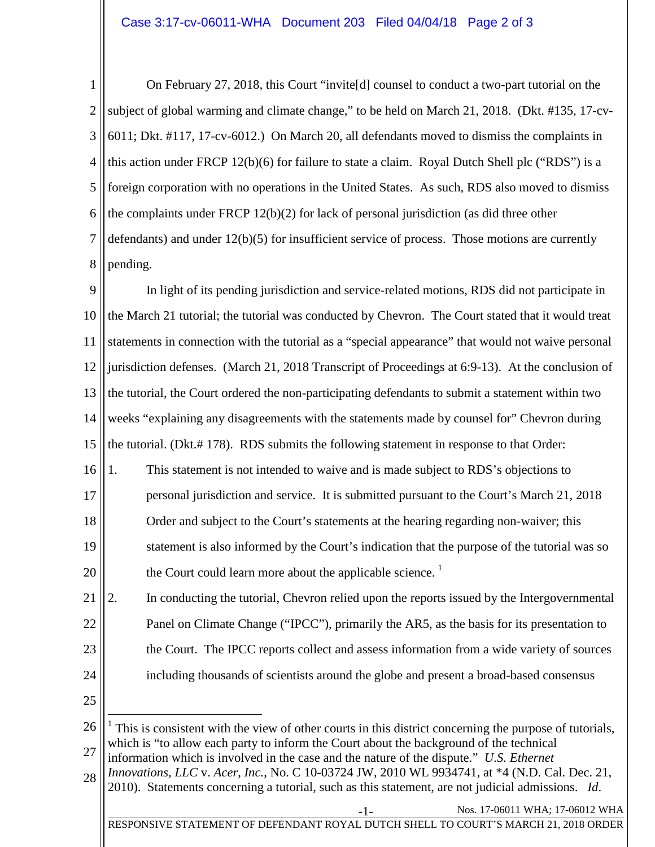1 2 3 4 5 6 7 8 On February 27, 2018, this Court "invite[d] counsel to conduct a two-part tutorial on the subject of global warming and climate change," to be held on March 21, 2018. (Dkt. #135, 17-cv-6011; Dkt. #117, 17-cv-6012.) On March 20, all defendants moved to dismiss the complaints in this action under FRCP 12(b)(6) for failure to state a claim. Royal Dutch Shell plc ("RDS") is a foreign corporation with no operations in the United States. As such, RDS also moved to dismiss the complaints under FRCP 12(b)(2) for lack of personal jurisdiction (as did three other defendants) and under  $12(b)(5)$  for insufficient service of process. Those motions are currently pending.

9 10 11 12 13 14 15 In light of its pending jurisdiction and service-related motions, RDS did not participate in the March 21 tutorial; the tutorial was conducted by Chevron. The Court stated that it would treat statements in connection with the tutorial as a "special appearance" that would not waive personal jurisdiction defenses. (March 21, 2018 Transcript of Proceedings at 6:9-13). At the conclusion of the tutorial, the Court ordered the non-participating defendants to submit a statement within two weeks "explaining any disagreements with the statements made by counsel for" Chevron during the tutorial. (Dkt.# 178). RDS submits the following statement in response to that Order:

- 16 17 18 19 20 1. This statement is not intended to waive and is made subject to RDS's objections to personal jurisdiction and service. It is submitted pursuant to the Court's March 21, 2018 Order and subject to the Court's statements at the hearing regarding non-waiver; this statement is also informed by the Court's indication that the purpose of the tutorial was so the Court could learn more about the applicable science.  $\frac{1}{1}$  $\frac{1}{1}$  $\frac{1}{1}$
- 21 22 23 24 2. In conducting the tutorial, Chevron relied upon the reports issued by the Intergovernmental Panel on Climate Change ("IPCC"), primarily the AR5, as the basis for its presentation to the Court. The IPCC reports collect and assess information from a wide variety of sources including thousands of scientists around the globe and present a broad-based consensus
- 25

28 information which is involved in the case and the nature of the dispute." *U.S. Ethernet Innovations, LLC* v. *Acer, Inc.*, No. C 10-03724 JW, 2010 WL 9934741, at \*4 (N.D. Cal. Dec. 21, 2010). Statements concerning a tutorial, such as this statement, are not judicial admissions. *Id*.

<span id="page-1-0"></span><sup>26</sup> 27 1 This is consistent with the view of other courts in this district concerning the purpose of tutorials, which is "to allow each party to inform the Court about the background of the technical

Nos. 17-06011 WHA; 17-06012 WHA